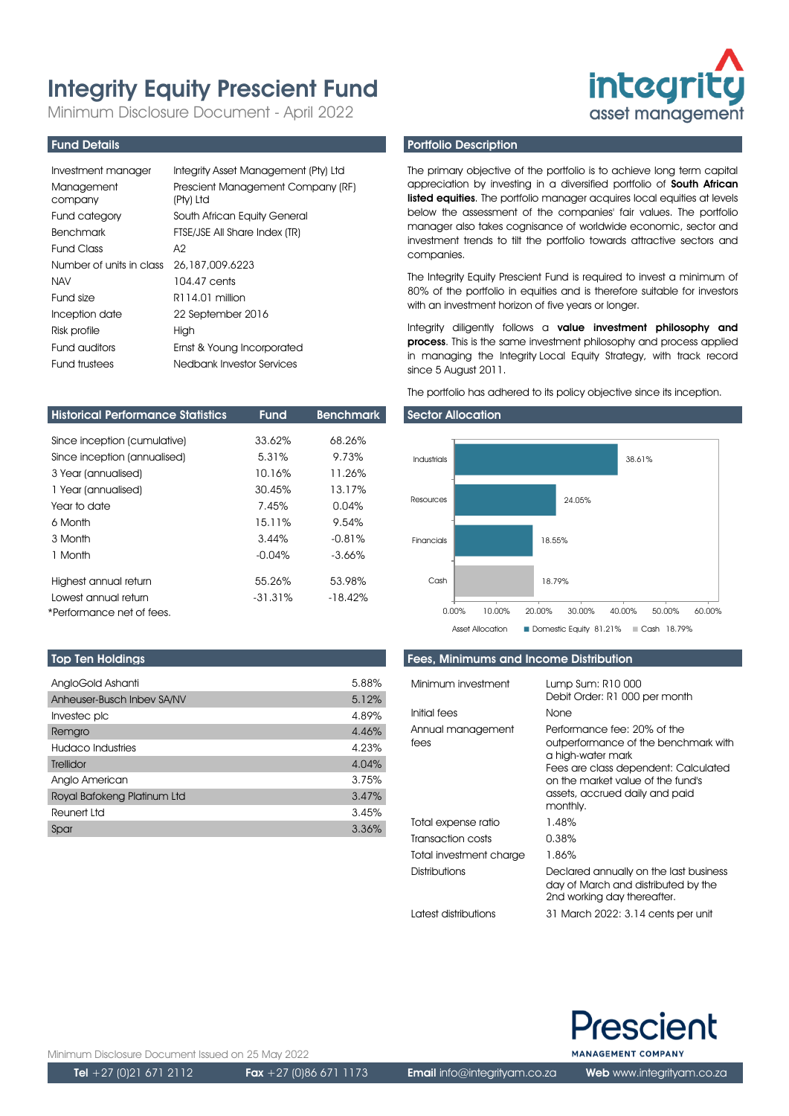# Integrity Equity Prescient Fund

Minimum Disclosure Document - April 2022

# Fund Details

| Investment manager       | Integrity Asset Management (Pty) Ltd           |
|--------------------------|------------------------------------------------|
| Management<br>company    | Prescient Management Company (RF)<br>(Pty) Ltd |
| Fund category            | South African Equity General                   |
| <b>Benchmark</b>         | FTSE/JSE All Share Index (TR)                  |
| Fund Class               | A2                                             |
| Number of units in class | 26,187,009,6223                                |
| <b>NAV</b>               | 104.47 cents                                   |
| Fund size                | R114.01 million                                |
| Inception date           | 22 September 2016                              |
| Risk profile             | High                                           |
| Fund auditors            | Ernst & Young Incorporated                     |
| Fund trustees            | Nedbank Investor Services                      |

| <b>Historical Performance Statistics</b> | <b>Fund</b> | <b>Benchmark</b> |
|------------------------------------------|-------------|------------------|
| Since inception (cumulative)             | 33.62%      | 68.26%           |
| Since inception (annualised)             | 5.31%       | 9.73%            |
| 3 Year (annualised)                      | 10.16%      | 11.26%           |
| 1 Year (annualised)                      | 30.45%      | 13.17%           |
| Year to date                             | 7.45%       | 0.04%            |
| 6 Month                                  | 15.11%      | 9.54%            |
| 3 Month                                  | 3.44%       | $-0.81%$         |
| 1 Month                                  | $-0.04\%$   | $-3.66%$         |
| Highest annual return                    | 55.26%      | 53.98%           |
| Lowest annual return                     | $-31.31\%$  | $-18.42%$        |
| *Performance net of fees.                |             |                  |

## Top Ten Holdings

| AngloGold Ashanti           | 5.88% |
|-----------------------------|-------|
| Anheuser-Busch Inbev SA/NV  | 5.12% |
| Investec plc                | 4.89% |
| Remgro                      | 4.46% |
| Hudaco Industries           | 4.23% |
| Trellidor                   | 4.04% |
| Anglo American              | 3.75% |
| Royal Bafokeng Platinum Ltd | 3.47% |
| Reunert Ltd                 | 3.45% |
| Spar                        | 3.36% |

# Portfolio Description

The primary objective of the portfolio is to achieve long term capital appreciation by investing in a diversified portfolio of South African **listed equities**. The portfolio manager acquires local equities at levels below the assessment of the companies' fair values. The portfolio manager also takes cognisance of worldwide economic, sector and investment trends to tilt the portfolio towards attractive sectors and companies.

**integrity** asset management

The Integrity Equity Prescient Fund is required to invest a minimum of 80% of the portfolio in equities and is therefore suitable for investors with an investment horizon of five years or longer.

Integrity diligently follows a value investment philosophy and process. This is the same investment philosophy and process applied in managing the Integrity Local Equity Strategy, with track record since 5 August 2011.

The portfolio has adhered to its policy objective since its inception.

#### Sector Allocation



## Fees, Minimums and Income Distribution

| Minimum investment<br>Initial fees | Lump Sum: R10 000<br>Debit Order: R1 000 per month<br>None                                                                                                                                                          |
|------------------------------------|---------------------------------------------------------------------------------------------------------------------------------------------------------------------------------------------------------------------|
|                                    |                                                                                                                                                                                                                     |
| Annual management<br>fees          | Performance fee: 20% of the<br>outperformance of the benchmark with<br>a high-water mark<br>Fees are class dependent: Calculated<br>on the market value of the fund's<br>assets, accrued daily and paid<br>monthly. |
| Total expense ratio                | 1.48%                                                                                                                                                                                                               |
| Transaction costs                  | 0.38%                                                                                                                                                                                                               |
| Total investment charge            | 1.86%                                                                                                                                                                                                               |
| Distributions                      | Declared annually on the last business<br>day of March and distributed by the<br>2nd working day thereafter.                                                                                                        |
| I atest distributions              | 31 March 2022: 3.14 cents per unit                                                                                                                                                                                  |



Minimum Disclosure Document Issued on 25 May 2022